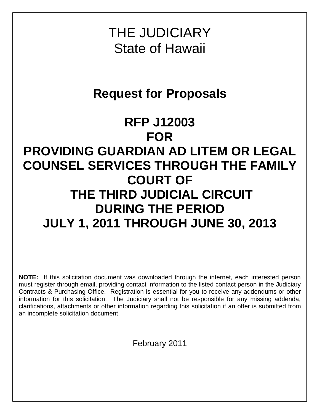THE JUDICIARY State of Hawaii

# **Request for Proposals**

# **RFP J12003 FOR PROVIDING GUARDIAN AD LITEM OR LEGAL COUNSEL SERVICES THROUGH THE FAMILY COURT OF THE THIRD JUDICIAL CIRCUIT DURING THE PERIOD JULY 1, 2011 THROUGH JUNE 30, 2013**

**NOTE:** If this solicitation document was downloaded through the internet, each interested person must register through email, providing contact information to the listed contact person in the Judiciary Contracts & Purchasing Office. Registration is essential for you to receive any addendums or other information for this solicitation. The Judiciary shall not be responsible for any missing addenda, clarifications, attachments or other information regarding this solicitation if an offer is submitted from an incomplete solicitation document.

February 2011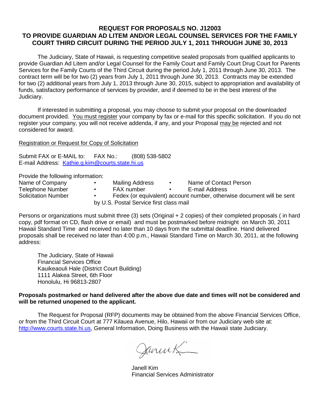#### **REQUEST FOR PROPOSALS NO. J12003 TO PROVIDE GUARDIAN AD LITEM AND/OR LEGAL COUNSEL SERVICES FOR THE FAMILY COURT THIRD CIRCUIT DURING THE PERIOD JULY 1, 2011 THROUGH JUNE 30, 2013**

The Judiciary, State of Hawaii, is requesting competitive sealed proposals from qualified applicants to provide Guardian Ad Litem and/or Legal Counsel for the Family Court and Family Court Drug Court for Parents Services for the Family Courts of the Third Circuit during the period July 1, 2011 through June 30, 2013. The contract term will be for two (2) years from July 1, 2011 through June 30, 2013. Contracts may be extended for two (2) additional years from July 1, 2013 through June 30, 2015, subject to appropriation and availability of funds, satisfactory performance of services by provider, and if deemed to be in the best interest of the Judiciary.

If interested in submitting a proposal, you may choose to submit your proposal on the downloaded document provided. You must register your company by fax or e-mail for this specific solicitation. If you do not register your company, you will not receive addenda, if any, and your Proposal may be rejected and not considered for award.

#### Registration or Request for Copy of Solicitation

Submit FAX or E-MAIL to: FAX No.: (808) 538-5802 E-mail Address: [Kathie.g.kim@courts.state.hi.us](mailto:Kathie.g.kim@courts.state.hi.us)

Provide the following information:

| Name of Company     | ٠         | Mailing Address                         | Name of Contact Person                                                |
|---------------------|-----------|-----------------------------------------|-----------------------------------------------------------------------|
| Telephone Number    | ٠         | FAX number                              | E-mail Address                                                        |
| Solicitation Number | $\bullet$ |                                         | Fedex (or equivalent) account number, otherwise document will be sent |
|                     |           | by U.S. Postal Service first class mail |                                                                       |

Persons or organizations must submit three (3) sets (Original + 2 copies) of their completed proposals (in hard copy, pdf format on CD, flash drive or email) and must be postmarked before midnight on March 30, 2011 Hawaii Standard Time and received no later than 10 days from the submittal deadline. Hand delivered proposals shall be received no later than 4:00 p.m., Hawaii Standard Time on March 30, 2011, at the following address:

The Judiciary, State of Hawaii Financial Services Office Kauikeaouli Hale (District Court Building) 1111 Alakea Street, 6th Floor Honolulu, Hi 96813-2807

#### **Proposals postmarked or hand delivered after the above due date and times will not be considered and will be returned unopened to the applicant.**

The Request for Proposal (RFP) documents may be obtained from the above Financial Services Office, or from the Third Circuit Court at 777 Kilauea Avenue, Hilo, Hawaii or from our Judiciary web site at: [http://www.courts.state.hi.us,](http://www.courts.state.hi.us/) General Information, Doing Business with the Hawaii state Judiciary.

Januet

Janell Kim Financial Services Administrator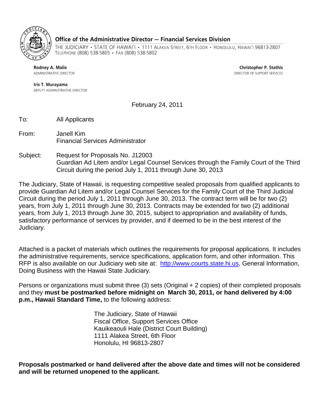

#### Office of the Administrative Director - Financial Services Division

THE JUDICIARY • STATE OF HAWAI'I • 1111 ALAKEA STREET, 6TH FLOOR • HONOLULU, HAWAI'I 96813-2807 TELEPHONE (808) 538-5805 · FAX (808) 538-5802

Rodney A. Maile ADMINISTRATIVE DIRECTOR

**Christopher P. Stathis** DIRECTOR OF SUPPORT SERVICES

Iris T. Murayama DEPUTY ADMINISTRATIVE DIRECTOR

February 24, 2011

To: All Applicants

- From: Janell Kim Financial Services Administrator
- Subject: Request for Proposals No. J12003 Guardian Ad Litem and/or Legal Counsel Services through the Family Court of the Third Circuit during the period July 1, 2011 through June 30, 2013

The Judiciary, State of Hawaii, is requesting competitive sealed proposals from qualified applicants to provide Guardian Ad Litem and/or Legal Counsel Services for the Family Court of the Third Judicial Circuit during the period July 1, 2011 through June 30, 2013. The contract term will be for two (2) years, from July 1, 2011 through June 30, 2013. Contracts may be extended for two (2) additional years, from July 1, 2013 through June 30, 2015, subject to appropriation and availability of funds, satisfactory performance of services by provider, and if deemed to be in the best interest of the Judiciary.

Attached is a packet of materials which outlines the requirements for proposal applications. It includes the administrative requirements, service specifications, application form, and other information. This RFP is also available on our Judiciary web site at: [http://www.courts.state.hi.us,](http://www.courts.state.hi.us/) General Information, Doing Business with the Hawaii State Judiciary.

Persons or organizations must submit three (3) sets (Original + 2 copies) of their completed proposals and they **must be postmarked before midnight on March 30, 2011, or hand delivered by 4:00 p.m., Hawaii Standard Time,** to the following address:

> The Judiciary, State of Hawaii Fiscal Office, Support Services Office Kauikeaouli Hale (District Court Building) 1111 Alakea Street, 6th Floor Honolulu, HI 96813-2807

**Proposals postmarked or hand delivered after the above date and times will not be considered and will be returned unopened to the applicant.**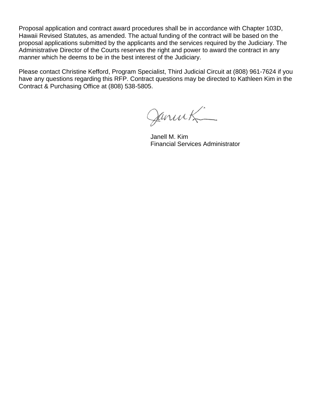Proposal application and contract award procedures shall be in accordance with Chapter 103D, Hawaii Revised Statutes, as amended. The actual funding of the contract will be based on the proposal applications submitted by the applicants and the services required by the Judiciary. The Administrative Director of the Courts reserves the right and power to award the contract in any manner which he deems to be in the best interest of the Judiciary.

Please contact Christine Kefford, Program Specialist, Third Judicial Circuit at (808) 961-7624 if you have any questions regarding this RFP. Contract questions may be directed to Kathleen Kim in the Contract & Purchasing Office at (808) 538-5805.

Januel

Janell M. Kim Financial Services Administrator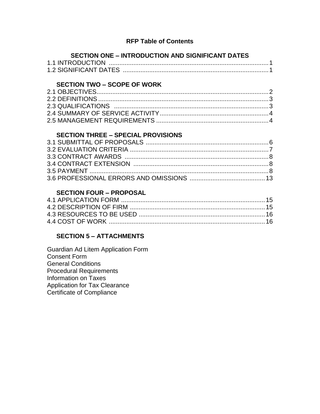## **RFP Table of Contents**

# **SECTION ONE – INTRODUCTION AND SIGNIFICANT DATES**

# **SECTION TWO – SCOPE OF WORK**

# **SECTION THREE – SPECIAL PROVISIONS**

# **SECTION FOUR – PROPOSAL**

# **SECTION 5 – ATTACHMENTS**

Guardian Ad Litem Application Form Consent Form General Conditions Procedural Requirements Information on Taxes Application for Tax Clearance Certificate of Compliance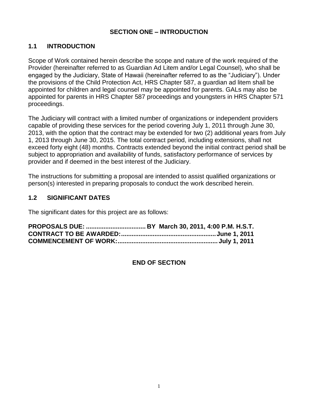## **SECTION ONE – INTRODUCTION**

## **1.1 INTRODUCTION**

Scope of Work contained herein describe the scope and nature of the work required of the Provider (hereinafter referred to as Guardian Ad Litem and/or Legal Counsel), who shall be engaged by the Judiciary, State of Hawaii (hereinafter referred to as the "Judiciary"). Under the provisions of the Child Protection Act, HRS Chapter 587, a guardian ad litem shall be appointed for children and legal counsel may be appointed for parents. GALs may also be appointed for parents in HRS Chapter 587 proceedings and youngsters in HRS Chapter 571 proceedings.

The Judiciary will contract with a limited number of organizations or independent providers capable of providing these services for the period covering July 1, 2011 through June 30, 2013, with the option that the contract may be extended for two (2) additional years from July 1, 2013 through June 30, 2015. The total contract period, including extensions, shall not exceed forty eight (48) months. Contracts extended beyond the initial contract period shall be subject to appropriation and availability of funds, satisfactory performance of services by provider and if deemed in the best interest of the Judiciary.

The instructions for submitting a proposal are intended to assist qualified organizations or person(s) interested in preparing proposals to conduct the work described herein.

## **1.2 SIGNIFICANT DATES**

The significant dates for this project are as follows:

#### **END OF SECTION**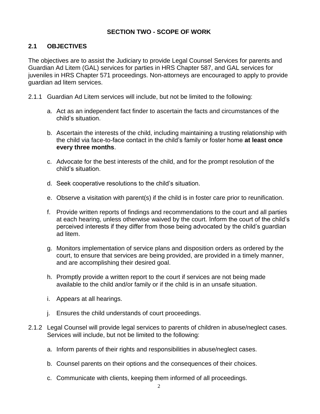# **SECTION TWO - SCOPE OF WORK**

# **2.1 OBJECTIVES**

The objectives are to assist the Judiciary to provide Legal Counsel Services for parents and Guardian Ad Litem (GAL) services for parties in HRS Chapter 587, and GAL services for juveniles in HRS Chapter 571 proceedings. Non-attorneys are encouraged to apply to provide guardian ad litem services.

- 2.1.1 Guardian Ad Litem services will include, but not be limited to the following:
	- a. Act as an independent fact finder to ascertain the facts and circumstances of the child's situation.
	- b. Ascertain the interests of the child, including maintaining a trusting relationship with the child via face-to-face contact in the child's family or foster home **at least once every three months**.
	- c. Advocate for the best interests of the child, and for the prompt resolution of the child's situation.
	- d. Seek cooperative resolutions to the child's situation.
	- e. Observe a visitation with parent(s) if the child is in foster care prior to reunification.
	- f. Provide written reports of findings and recommendations to the court and all parties at each hearing, unless otherwise waived by the court. Inform the court of the child's perceived interests if they differ from those being advocated by the child's guardian ad litem.
	- g. Monitors implementation of service plans and disposition orders as ordered by the court, to ensure that services are being provided, are provided in a timely manner, and are accomplishing their desired goal.
	- h. Promptly provide a written report to the court if services are not being made available to the child and/or family or if the child is in an unsafe situation.
	- i. Appears at all hearings.
	- j. Ensures the child understands of court proceedings.
- 2.1.2 Legal Counsel will provide legal services to parents of children in abuse/neglect cases. Services will include, but not be limited to the following:
	- a. Inform parents of their rights and responsibilities in abuse/neglect cases.
	- b. Counsel parents on their options and the consequences of their choices.
	- c. Communicate with clients, keeping them informed of all proceedings.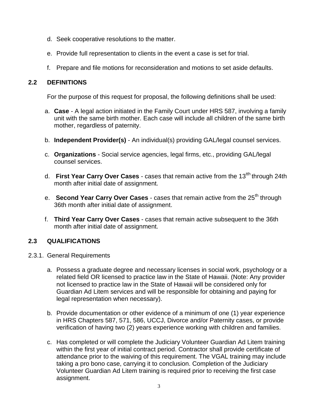- d. Seek cooperative resolutions to the matter.
- e. Provide full representation to clients in the event a case is set for trial.
- f. Prepare and file motions for reconsideration and motions to set aside defaults.

## **2.2 DEFINITIONS**

For the purpose of this request for proposal, the following definitions shall be used:

- a. **Case** A legal action initiated in the Family Court under HRS 587, involving a family unit with the same birth mother. Each case will include all children of the same birth mother, regardless of paternity.
- b. **Independent Provider(s)**  An individual(s) providing GAL/legal counsel services.
- c. **Organizations**  Social service agencies, legal firms, etc., providing GAL/legal counsel services.
- d. **First Year Carry Over Cases** cases that remain active from the 13<sup>th</sup> through 24th month after initial date of assignment.
- e. **Second Year Carry Over Cases** cases that remain active from the 25<sup>th</sup> through 36th month after initial date of assignment.
- f. **Third Year Carry Over Cases**  cases that remain active subsequent to the 36th month after initial date of assignment.

## **2.3 QUALIFICATIONS**

- 2.3.1. General Requirements
	- a. Possess a graduate degree and necessary licenses in social work, psychology or a related field OR licensed to practice law in the State of Hawaii. (Note: Any provider not licensed to practice law in the State of Hawaii will be considered only for Guardian Ad Litem services and will be responsible for obtaining and paying for legal representation when necessary).
	- b. Provide documentation or other evidence of a minimum of one (1) year experience in HRS Chapters 587, 571, 586, UCCJ, Divorce and/or Paternity cases, or provide verification of having two (2) years experience working with children and families.
	- c. Has completed or will complete the Judiciary Volunteer Guardian Ad Litem training within the first year of initial contract period. Contractor shall provide certificate of attendance prior to the waiving of this requirement. The VGAL training may include taking a pro bono case, carrying it to conclusion. Completion of the Judiciary Volunteer Guardian Ad Litem training is required prior to receiving the first case assignment.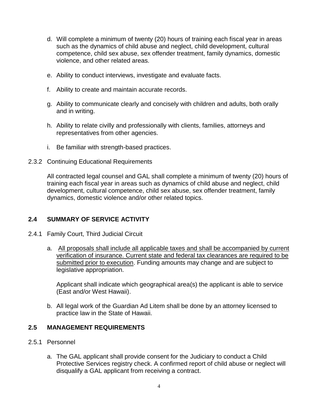- d. Will complete a minimum of twenty (20) hours of training each fiscal year in areas such as the dynamics of child abuse and neglect, child development, cultural competence, child sex abuse, sex offender treatment, family dynamics, domestic violence, and other related areas.
- e. Ability to conduct interviews, investigate and evaluate facts.
- f. Ability to create and maintain accurate records.
- g. Ability to communicate clearly and concisely with children and adults, both orally and in writing.
- h. Ability to relate civilly and professionally with clients, families, attorneys and representatives from other agencies.
- i. Be familiar with strength-based practices.
- 2.3.2 Continuing Educational Requirements

All contracted legal counsel and GAL shall complete a minimum of twenty (20) hours of training each fiscal year in areas such as dynamics of child abuse and neglect, child development, cultural competence, child sex abuse, sex offender treatment, family dynamics, domestic violence and/or other related topics.

## **2.4 SUMMARY OF SERVICE ACTIVITY**

- 2.4.1 Family Court, Third Judicial Circuit
	- a. All proposals shall include all applicable taxes and shall be accompanied by current verification of insurance. Current state and federal tax clearances are required to be submitted prior to execution. Funding amounts may change and are subject to legislative appropriation.

Applicant shall indicate which geographical area(s) the applicant is able to service (East and/or West Hawaii).

b. All legal work of the Guardian Ad Litem shall be done by an attorney licensed to practice law in the State of Hawaii.

#### **2.5 MANAGEMENT REQUIREMENTS**

- 2.5.1 Personnel
	- a. The GAL applicant shall provide consent for the Judiciary to conduct a Child Protective Services registry check. A confirmed report of child abuse or neglect will disqualify a GAL applicant from receiving a contract.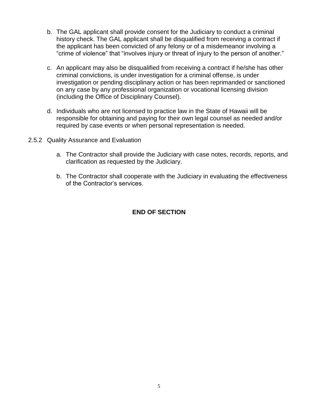- b. The GAL applicant shall provide consent for the Judiciary to conduct a criminal history check. The GAL applicant shall be disqualified from receiving a contract if the applicant has been convicted of any felony or of a misdemeanor involving a "crime of violence" that "involves injury or threat of injury to the person of another."
- c. An applicant may also be disqualified from receiving a contract if he/she has other criminal convictions, is under investigation for a criminal offense, is under investigation or pending disciplinary action or has been reprimanded or sanctioned on any case by any professional organization or vocational licensing division (including the Office of Disciplinary Counsel).
- d. Individuals who are not licensed to practice law in the State of Hawaii will be responsible for obtaining and paying for their own legal counsel as needed and/or required by case events or when personal representation is needed.
- 2.5.2 Quality Assurance and Evaluation
	- a. The Contractor shall provide the Judiciary with case notes, records, reports, and clarification as requested by the Judiciary.
	- b. The Contractor shall cooperate with the Judiciary in evaluating the effectiveness of the Contractor's services.

## **END OF SECTION**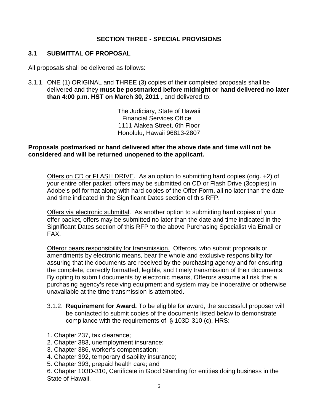## **SECTION THREE - SPECIAL PROVISIONS**

## **3.1 SUBMITTAL OF PROPOSAL**

All proposals shall be delivered as follows:

3.1.1. ONE (1) ORIGINAL and THREE (3) copies of their completed proposals shall be delivered and they **must be postmarked before midnight or hand delivered no later than 4:00 p.m. HST on March 30, 2011 ,** and delivered to:

> The Judiciary, State of Hawaii Financial Services Office 1111 Alakea Street, 6th Floor Honolulu, Hawaii 96813-2807

#### **Proposals postmarked or hand delivered after the above date and time will not be considered and will be returned unopened to the applicant.**

Offers on CD or FLASH DRIVE. As an option to submitting hard copies (orig. +2) of your entire offer packet, offers may be submitted on CD or Flash Drive (3copies) in Adobe's pdf format along with hard copies of the Offer Form, all no later than the date and time indicated in the Significant Dates section of this RFP.

Offers via electronic submittal. As another option to submitting hard copies of your offer packet, offers may be submitted no later than the date and time indicated in the Significant Dates section of this RFP to the above Purchasing Specialist via Email or FAX.

Offeror bears responsibility for transmission. Offerors, who submit proposals or amendments by electronic means, bear the whole and exclusive responsibility for assuring that the documents are received by the purchasing agency and for ensuring the complete, correctly formatted, legible, and timely transmission of their documents. By opting to submit documents by electronic means, Offerors assume all risk that a purchasing agency's receiving equipment and system may be inoperative or otherwise unavailable at the time transmission is attempted.

- 3.1.2. **Requirement for Award.** To be eligible for award, the successful proposer will be contacted to submit copies of the documents listed below to demonstrate compliance with the requirements of  $\S$  103D-310 (c), HRS:
- 1. Chapter 237, tax clearance;
- 2. Chapter 383, unemployment insurance;
- 3. Chapter 386, worker's compensation;
- 4. Chapter 392, temporary disability insurance;
- 5. Chapter 393, prepaid health care; and
- 6. Chapter 103D-310, Certificate in Good Standing for entities doing business in the State of Hawaii.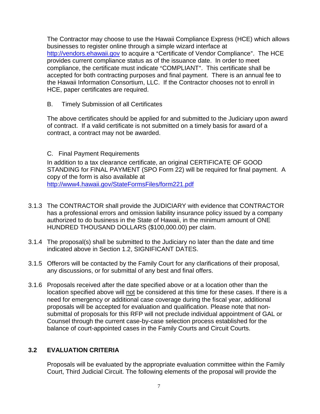The Contractor may choose to use the Hawaii Compliance Express (HCE) which allows businesses to register online through a simple wizard interface at http://vendors.ehawaii.gov to acquire a "Certificate of Vendor Compliance". The HCE provides current compliance status as of the issuance date. In order to meet compliance, the certificate must indicate "COMPLIANT". This certificate shall be accepted for both contracting purposes and final payment. There is an annual fee to the Hawaii Information Consortium, LLC. If the Contractor chooses not to enroll in HCE, paper certificates are required.

B. Timely Submission of all Certificates

The above certificates should be applied for and submitted to the Judiciary upon award of contract. If a valid certificate is not submitted on a timely basis for award of a contract, a contract may not be awarded.

## C. Final Payment Requirements

In addition to a tax clearance certificate, an original CERTIFICATE OF GOOD STANDING for FINAL PAYMENT (SPO Form 22) will be required for final payment. A copy of the form is also available at http://www4.hawaii.gov/StateFormsFiles/form221.pdf

- 3.1.3 The CONTRACTOR shall provide the JUDICIARY with evidence that CONTRACTOR has a professional errors and omission liability insurance policy issued by a company authorized to do business in the State of Hawaii, in the minimum amount of ONE HUNDRED THOUSAND DOLLARS (\$100,000.00) per claim.
- 3.1.4 The proposal(s) shall be submitted to the Judiciary no later than the date and time indicated above in Section 1.2, SIGNIFICANT DATES.
- 3.1.5 Offerors will be contacted by the Family Court for any clarifications of their proposal, any discussions, or for submittal of any best and final offers.
- 3.1.6 Proposals received after the date specified above or at a location other than the location specified above will not be considered at this time for these cases. If there is a need for emergency or additional case coverage during the fiscal year, additional proposals will be accepted for evaluation and qualification. Please note that nonsubmittal of proposals for this RFP will not preclude individual appointment of GAL or Counsel through the current case-by-case selection process established for the balance of court-appointed cases in the Family Courts and Circuit Courts.

## **3.2 EVALUATION CRITERIA**

Proposals will be evaluated by the appropriate evaluation committee within the Family Court, Third Judicial Circuit. The following elements of the proposal will provide the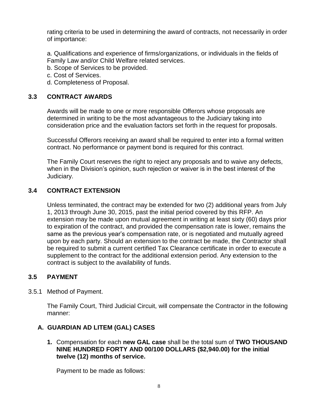rating criteria to be used in determining the award of contracts, not necessarily in order of importance:

a. Qualifications and experience of firms/organizations, or individuals in the fields of Family Law and/or Child Welfare related services.

b. Scope of Services to be provided.

- c. Cost of Services.
- d. Completeness of Proposal.

## **3.3 CONTRACT AWARDS**

Awards will be made to one or more responsible Offerors whose proposals are determined in writing to be the most advantageous to the Judiciary taking into consideration price and the evaluation factors set forth in the request for proposals.

Successful Offerors receiving an award shall be required to enter into a formal written contract. No performance or payment bond is required for this contract.

The Family Court reserves the right to reject any proposals and to waive any defects, when in the Division's opinion, such rejection or waiver is in the best interest of the Judiciary.

## **3.4 CONTRACT EXTENSION**

Unless terminated, the contract may be extended for two (2) additional years from July 1, 2013 through June 30, 2015, past the initial period covered by this RFP. An extension may be made upon mutual agreement in writing at least sixty (60) days prior to expiration of the contract, and provided the compensation rate is lower, remains the same as the previous year's compensation rate, or is negotiated and mutually agreed upon by each party. Should an extension to the contract be made, the Contractor shall be required to submit a current certified Tax Clearance certificate in order to execute a supplement to the contract for the additional extension period. Any extension to the contract is subject to the availability of funds.

#### **3.5 PAYMENT**

3.5.1 Method of Payment.

The Family Court, Third Judicial Circuit, will compensate the Contractor in the following manner:

## **A. GUARDIAN AD LITEM (GAL) CASES**

**1.** Compensation for each **new GAL case** shall be the total sum of **TWO THOUSAND NINE HUNDRED FORTY AND 00/100 DOLLARS (\$2,940.00) for the initial twelve (12) months of service.**

Payment to be made as follows: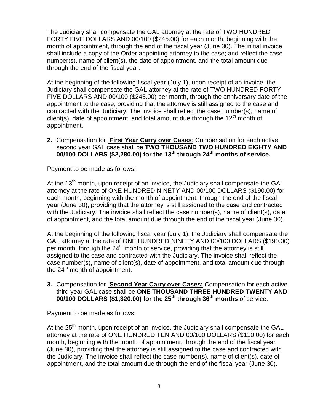The Judiciary shall compensate the GAL attorney at the rate of TWO HUNDRED FORTY FIVE DOLLARS AND 00/100 (\$245.00) for each month, beginning with the month of appointment, through the end of the fiscal year (June 30). The initial invoice shall include a copy of the Order appointing attorney to the case; and reflect the case number(s), name of client(s), the date of appointment, and the total amount due through the end of the fiscal year.

At the beginning of the following fiscal year (July 1), upon receipt of an invoice, the Judiciary shall compensate the GAL attorney at the rate of TWO HUNDRED FORTY FIVE DOLLARS AND 00/100 (\$245.00) per month, through the anniversary date of the appointment to the case; providing that the attorney is still assigned to the case and contracted with the Judiciary. The invoice shall reflect the case number(s), name of client(s), date of appointment, and total amount due through the  $12<sup>th</sup>$  month of appointment.

**2.** Compensation for **First Year Carry over Cases**: Compensation for each active second year GAL case shall be **TWO THOUSAND TWO HUNDRED EIGHTY AND 00/100 DOLLARS (\$2,280.00) for the 13th through 24th months of service.** 

Payment to be made as follows:

At the 13<sup>th</sup> month, upon receipt of an invoice, the Judiciary shall compensate the GAL attorney at the rate of ONE HUNDRED NINETY AND 00/100 DOLLARS (\$190.00) for each month, beginning with the month of appointment, through the end of the fiscal year (June 30), providing that the attorney is still assigned to the case and contracted with the Judiciary. The invoice shall reflect the case number(s), name of client(s), date of appointment, and the total amount due through the end of the fiscal year (June 30).

At the beginning of the following fiscal year (July 1), the Judiciary shall compensate the GAL attorney at the rate of ONE HUNDRED NINETY AND 00/100 DOLLARS (\$190.00) per month, through the  $24<sup>th</sup>$  month of service, providing that the attorney is still assigned to the case and contracted with the Judiciary. The invoice shall reflect the case number(s), name of client(s), date of appointment, and total amount due through the  $24<sup>th</sup>$  month of appointment.

**3.** Compensation for **Second Year Carry over Cases:** Compensation for each active third year GAL case shall be **ONE THOUSAND THREE HUNDRED TWENTY AND 00/100 DOLLARS (\$1,320.00) for the 25th through 36th months** of service.

Payment to be made as follows:

At the  $25<sup>th</sup>$  month, upon receipt of an invoice, the Judiciary shall compensate the GAL attorney at the rate of ONE HUNDRED TEN AND 00/100 DOLLARS (\$110.00) for each month, beginning with the month of appointment, through the end of the fiscal year (June 30), providing that the attorney is still assigned to the case and contracted with the Judiciary. The invoice shall reflect the case number(s), name of client(s), date of appointment, and the total amount due through the end of the fiscal year (June 30).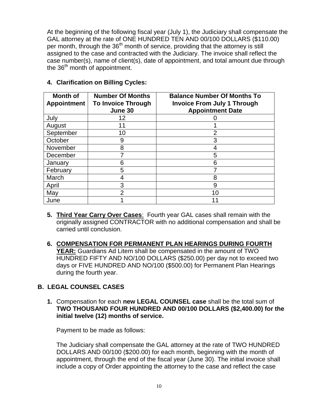At the beginning of the following fiscal year (July 1), the Judiciary shall compensate the GAL attorney at the rate of ONE HUNDRED TEN AND 00/100 DOLLARS (\$110.00) per month, through the  $36<sup>th</sup>$  month of service, providing that the attorney is still assigned to the case and contracted with the Judiciary. The invoice shall reflect the case number(s), name of client(s), date of appointment, and total amount due through the  $36<sup>th</sup>$  month of appointment.

| <b>Month of</b><br><b>Appointment</b> | <b>Number Of Months</b><br><b>To Invoice Through</b><br>June 30 | <b>Balance Number Of Months To</b><br><b>Invoice From July 1 Through</b><br><b>Appointment Date</b> |
|---------------------------------------|-----------------------------------------------------------------|-----------------------------------------------------------------------------------------------------|
| July                                  | $12 \overline{ }$                                               |                                                                                                     |
| August                                | 11                                                              |                                                                                                     |
| September                             | 10                                                              | 2                                                                                                   |
| October                               | 9                                                               | 3                                                                                                   |
| November                              | 8                                                               |                                                                                                     |
| December                              |                                                                 | 5                                                                                                   |
| January                               | 6                                                               | 6                                                                                                   |
| February                              | 5                                                               |                                                                                                     |
| March                                 |                                                                 | 8                                                                                                   |
| April                                 | 3                                                               | 9                                                                                                   |
| May                                   | っ                                                               | 10                                                                                                  |
| June                                  |                                                                 |                                                                                                     |

#### **4. Clarification on Billing Cycles:**

- **5. Third Year Carry Over Cases**: Fourth year GAL cases shall remain with the originally assigned CONTRACTOR with no additional compensation and shall be carried until conclusion.
- **6. COMPENSATION FOR PERMANENT PLAN HEARINGS DURING FOURTH YEAR:** Guardians Ad Litem shall be compensated in the amount of TWO HUNDRED FIFTY AND NO/100 DOLLARS (\$250.00) per day not to exceed two days or FIVE HUNDRED AND NO/100 (\$500.00) for Permanent Plan Hearings during the fourth year.

## **B. LEGAL COUNSEL CASES**

**1.** Compensation for each **new LEGAL COUNSEL case** shall be the total sum of **TWO THOUSAND FOUR HUNDRED AND 00/100 DOLLARS (\$2,400.00) for the initial twelve (12) months of service.**

Payment to be made as follows:

The Judiciary shall compensate the GAL attorney at the rate of TWO HUNDRED DOLLARS AND 00/100 (\$200.00) for each month, beginning with the month of appointment, through the end of the fiscal year (June 30). The initial invoice shall include a copy of Order appointing the attorney to the case and reflect the case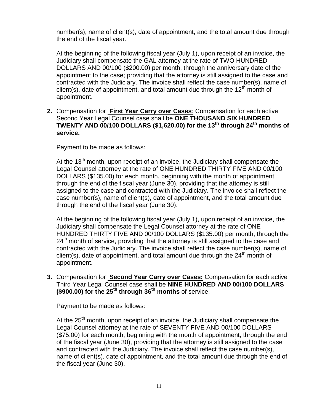number(s), name of client(s), date of appointment, and the total amount due through the end of the fiscal year.

At the beginning of the following fiscal year (July 1), upon receipt of an invoice, the Judiciary shall compensate the GAL attorney at the rate of TWO HUNDRED DOLLARS AND 00/100 (\$200.00) per month, through the anniversary date of the appointment to the case; providing that the attorney is still assigned to the case and contracted with the Judiciary. The invoice shall reflect the case number(s), name of client(s), date of appointment, and total amount due through the 12<sup>th</sup> month of appointment.

**2.** Compensation for **First Year Carry over Cases**: Compensation for each active Second Year Legal Counsel case shall be **ONE THOUSAND SIX HUNDRED TWENTY AND 00/100 DOLLARS (\$1,620.00) for the 13th through 24th months of service.** 

Payment to be made as follows:

At the 13<sup>th</sup> month, upon receipt of an invoice, the Judiciary shall compensate the Legal Counsel attorney at the rate of ONE HUNDRED THIRTY FIVE AND 00/100 DOLLARS (\$135.00) for each month, beginning with the month of appointment, through the end of the fiscal year (June 30), providing that the attorney is still assigned to the case and contracted with the Judiciary. The invoice shall reflect the case number(s), name of client(s), date of appointment, and the total amount due through the end of the fiscal year (June 30).

At the beginning of the following fiscal year (July 1), upon receipt of an invoice, the Judiciary shall compensate the Legal Counsel attorney at the rate of ONE HUNDRED THIRTY FIVE AND 00/100 DOLLARS (\$135.00) per month, through the  $24<sup>th</sup>$  month of service, providing that the attorney is still assigned to the case and contracted with the Judiciary. The invoice shall reflect the case number(s), name of client(s), date of appointment, and total amount due through the  $24<sup>th</sup>$  month of appointment.

**3.** Compensation for **Second Year Carry over Cases:** Compensation for each active Third Year Legal Counsel case shall be **NINE HUNDRED AND 00/100 DOLLARS (\$900.00) for the 25th through 36th months** of service.

Payment to be made as follows:

At the  $25<sup>th</sup>$  month, upon receipt of an invoice, the Judiciary shall compensate the Legal Counsel attorney at the rate of SEVENTY FIVE AND 00/100 DOLLARS (\$75.00) for each month, beginning with the month of appointment, through the end of the fiscal year (June 30), providing that the attorney is still assigned to the case and contracted with the Judiciary. The invoice shall reflect the case number(s), name of client(s), date of appointment, and the total amount due through the end of the fiscal year (June 30).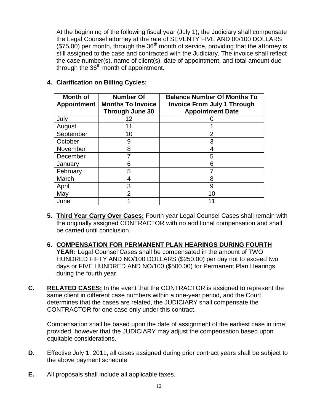At the beginning of the following fiscal year (July 1), the Judiciary shall compensate the Legal Counsel attorney at the rate of SEVENTY FIVE AND 00/100 DOLLARS  $(\$75.00)$  per month, through the  $36<sup>th</sup>$  month of service, providing that the attorney is still assigned to the case and contracted with the Judiciary. The invoice shall reflect the case number(s), name of client(s), date of appointment, and total amount due through the  $36<sup>th</sup>$  month of appointment.

| Month of<br><b>Appointment</b> | <b>Number Of</b><br><b>Months To Invoice</b><br><b>Through June 30</b> | <b>Balance Number Of Months To</b><br><b>Invoice From July 1 Through</b><br><b>Appointment Date</b> |  |
|--------------------------------|------------------------------------------------------------------------|-----------------------------------------------------------------------------------------------------|--|
| July                           | 12                                                                     |                                                                                                     |  |
| August                         |                                                                        |                                                                                                     |  |
| September                      | 10                                                                     | 2                                                                                                   |  |
| October                        | 9                                                                      | 3                                                                                                   |  |
| November                       | 8                                                                      | 4                                                                                                   |  |
| December                       | 7                                                                      | 5                                                                                                   |  |
| January                        | 6                                                                      | 6                                                                                                   |  |
| February                       | 5                                                                      |                                                                                                     |  |
| March                          | 4                                                                      | 8                                                                                                   |  |
| April                          | 3                                                                      | 9                                                                                                   |  |
| May                            | 2                                                                      | 10                                                                                                  |  |
| June                           |                                                                        |                                                                                                     |  |

#### **4. Clarification on Billing Cycles:**

- **5. Third Year Carry Over Cases:** Fourth year Legal Counsel Cases shall remain with the originally assigned CONTRACTOR with no additional compensation and shall be carried until conclusion.
- **6. COMPENSATION FOR PERMANENT PLAN HEARINGS DURING FOURTH YEAR:** Legal Counsel Cases shall be compensated in the amount of TWO HUNDRED FIFTY AND NO/100 DOLLARS (\$250.00) per day not to exceed two days or FIVE HUNDRED AND NO/100 (\$500.00) for Permanent Plan Hearings during the fourth year.
- **C. RELATED CASES:** In the event that the CONTRACTOR is assigned to represent the same client in different case numbers within a one-year period, and the Court determines that the cases are related, the JUDICIARY shall compensate the CONTRACTOR for one case only under this contract.

Compensation shall be based upon the date of assignment of the earliest case in time; provided, however that the JUDICIARY may adjust the compensation based upon equitable considerations.

- **D.** Effective July 1, 2011, all cases assigned during prior contract years shall be subject to the above payment schedule.
- **E.** All proposals shall include all applicable taxes.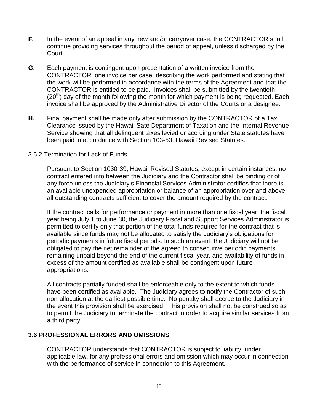- **F.** In the event of an appeal in any new and/or carryover case, the CONTRACTOR shall continue providing services throughout the period of appeal, unless discharged by the Court.
- **G.** Each payment is contingent upon presentation of a written invoice from the CONTRACTOR, one invoice per case, describing the work performed and stating that the work will be performed in accordance with the terms of the Agreement and that the CONTRACTOR is entitled to be paid. Invoices shall be submitted by the twentieth  $(20<sup>th</sup>)$  day of the month following the month for which payment is being requested. Each invoice shall be approved by the Administrative Director of the Courts or a designee.
- **H.** Final payment shall be made only after submission by the CONTRACTOR of a Tax Clearance issued by the Hawaii Sate Department of Taxation and the Internal Revenue Service showing that all delinquent taxes levied or accruing under State statutes have been paid in accordance with Section 103-53, Hawaii Revised Statutes.

#### 3.5.2 Termination for Lack of Funds.

Pursuant to Section 1030-39, Hawaii Revised Statutes, except in certain instances, no contract entered into between the Judiciary and the Contractor shall be binding or of any force unless the Judiciary's Financial Services Administrator certifies that there is an available unexpended appropriation or balance of an appropriation over and above all outstanding contracts sufficient to cover the amount required by the contract.

If the contract calls for performance or payment in more than one fiscal year, the fiscal year being July 1 to June 30, the Judiciary Fiscal and Support Services Administrator is permitted to certify only that portion of the total funds required for the contract that is available since funds may not be allocated to satisfy the Judiciary's obligations for periodic payments in future fiscal periods. In such an event, the Judiciary will not be obligated to pay the net remainder of the agreed to consecutive periodic payments remaining unpaid beyond the end of the current fiscal year, and availability of funds in excess of the amount certified as available shall be contingent upon future appropriations.

All contracts partially funded shall be enforceable only to the extent to which funds have been certified as available. The Judiciary agrees to notify the Contractor of such non-allocation at the earliest possible time. No penalty shall accrue to the Judiciary in the event this provision shall be exercised. This provision shall not be construed so as to permit the Judiciary to terminate the contract in order to acquire similar services from a third party.

#### **3.6 PROFESSIONAL ERRORS AND OMISSIONS**

CONTRACTOR understands that CONTRACTOR is subject to liability, under applicable law, for any professional errors and omission which may occur in connection with the performance of service in connection to this Agreement.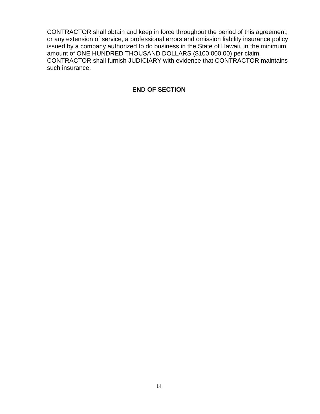CONTRACTOR shall obtain and keep in force throughout the period of this agreement, or any extension of service, a professional errors and omission liability insurance policy issued by a company authorized to do business in the State of Hawaii, in the minimum amount of ONE HUNDRED THOUSAND DOLLARS (\$100,000.00) per claim. CONTRACTOR shall furnish JUDICIARY with evidence that CONTRACTOR maintains such insurance.

#### **END OF SECTION**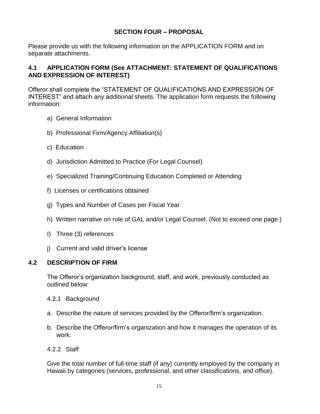## **SECTION FOUR – PROPOSAL**

Please provide us with the following information on the APPLICATION FORM and on separate attachments.

## **4.1 APPLICATION FORM (See ATTACHMENT: STATEMENT OF QUALIFICATIONS AND EXPRESSION OF INTEREST)**

Offeror shall complete the "STATEMENT OF QUALIFICATIONS AND EXPRESSION OF INTEREST" and attach any additional sheets. The application form requests the following information:

- a) General Information
- b) Professional Firm/Agency Affiliation(s)
- c) Education
- d) Jurisdiction Admitted to Practice (For Legal Counsel)
- e) Specialized Training/Continuing Education Completed or Attending
- f) Licenses or certifications obtained
- g) Types and Number of Cases per Fiscal Year
- h) Written narrative on role of GAL and/or Legal Counsel. (Not to exceed one page.)
- I) Three (3) references
- j) Current and valid driver's license

## **4.2 DESCRIPTION OF FIRM**

The Offeror's organization background, staff, and work, previously conducted as outlined below:

- 4.2.1 Background
- a. Describe the nature of services provided by the Offeror/firm's organization.
- b. Describe the Offeror/firm's organization and how it manages the operation of its work.
- 4.2.2 Staff

Give the total number of full-time staff (if any) currently employed by the company in Hawaii by categories (services, professional, and other classifications, and office).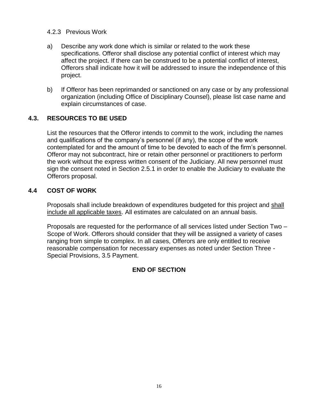#### 4.2.3 Previous Work

- a) Describe any work done which is similar or related to the work these specifications. Offeror shall disclose any potential conflict of interest which may affect the project. If there can be construed to be a potential conflict of interest, Offerors shall indicate how it will be addressed to insure the independence of this project.
- b) If Offeror has been reprimanded or sanctioned on any case or by any professional organization (including Office of Disciplinary Counsel), please list case name and explain circumstances of case.

## **4.3. RESOURCES TO BE USED**

List the resources that the Offeror intends to commit to the work, including the names and qualifications of the company's personnel (if any), the scope of the work contemplated for and the amount of time to be devoted to each of the firm's personnel. Offeror may not subcontract, hire or retain other personnel or practitioners to perform the work without the express written consent of the Judiciary. All new personnel must sign the consent noted in Section 2.5.1 in order to enable the Judiciary to evaluate the Offerors proposal.

#### **4.4 COST OF WORK**

Proposals shall include breakdown of expenditures budgeted for this project and shall include all applicable taxes. All estimates are calculated on an annual basis.

Proposals are requested for the performance of all services listed under Section Two – Scope of Work. Offerors should consider that they will be assigned a variety of cases ranging from simple to complex. In all cases, Offerors are only entitled to receive reasonable compensation for necessary expenses as noted under Section Three - Special Provisions, 3.5 Payment.

## **END OF SECTION**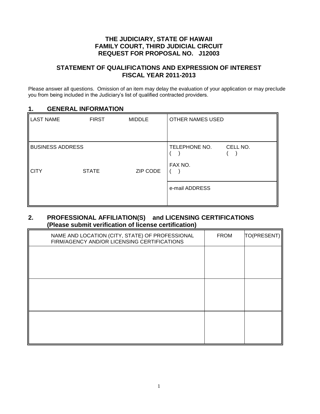#### **THE JUDICIARY, STATE OF HAWAII FAMILY COURT, THIRD JUDICIAL CIRCUIT REQUEST FOR PROPOSAL NO. J12003**

#### **STATEMENT OF QUALIFICATIONS AND EXPRESSION OF INTEREST FISCAL YEAR 2011-2013**

Please answer all questions. Omission of an item may delay the evaluation of your application or may preclude you from being included in the Judiciary's list of qualified contracted providers.

#### **1. GENERAL INFORMATION**

| LAST NAME                              | <b>FIRST</b> | <b>MIDDLE</b> | <b>OTHER NAMES USED</b>  |          |
|----------------------------------------|--------------|---------------|--------------------------|----------|
| <b>BUSINESS ADDRESS</b><br><b>CITY</b> | <b>STATE</b> | ZIP CODE      | TELEPHONE NO.<br>FAX NO. | CELL NO. |
|                                        |              |               | e-mail ADDRESS           |          |

#### **2. PROFESSIONAL AFFILIATION(S) and LICENSING CERTIFICATIONS (Please submit verification of license certification)**

| NAME AND LOCATION (CITY, STATE) OF PROFESSIONAL<br>FIRM/AGENCY AND/OR LICENSING CERTIFICATIONS | <b>FROM</b> | TO(PRESENT) |
|------------------------------------------------------------------------------------------------|-------------|-------------|
|                                                                                                |             |             |
|                                                                                                |             |             |
|                                                                                                |             |             |
|                                                                                                |             |             |
|                                                                                                |             |             |
|                                                                                                |             |             |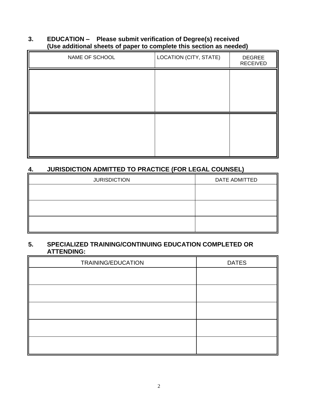## **3. EDUCATION – Please submit verification of Degree(s) received (Use additional sheets of paper to complete this section as needed)**

| NAME OF SCHOOL | LOCATION (CITY, STATE) | <b>DEGREE</b><br><b>RECEIVED</b> |
|----------------|------------------------|----------------------------------|
|                |                        |                                  |
|                |                        |                                  |
|                |                        |                                  |
|                |                        |                                  |
|                |                        |                                  |
|                |                        |                                  |

# **4. JURISDICTION ADMITTED TO PRACTICE (FOR LEGAL COUNSEL)**

| <b>JURISDICTION</b> | DATE ADMITTED |
|---------------------|---------------|
|                     |               |
|                     |               |
|                     |               |
|                     |               |
|                     |               |

#### **5. SPECIALIZED TRAINING/CONTINUING EDUCATION COMPLETED OR ATTENDING:**

| TRAINING/EDUCATION | <b>DATES</b> |
|--------------------|--------------|
|                    |              |
|                    |              |
|                    |              |
|                    |              |
|                    |              |
|                    |              |
|                    |              |
|                    |              |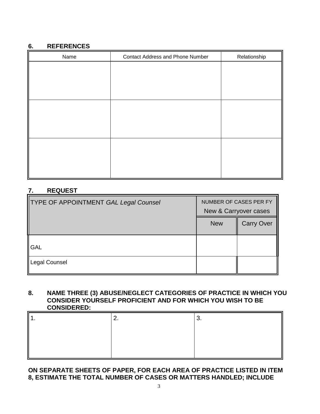#### **6. REFERENCES**

| Name | <b>Contact Address and Phone Number</b> | Relationship |
|------|-----------------------------------------|--------------|
|      |                                         |              |
|      |                                         |              |
|      |                                         |              |
|      |                                         |              |
|      |                                         |              |
|      |                                         |              |
|      |                                         |              |
|      |                                         |              |
|      |                                         |              |
|      |                                         |              |
|      |                                         |              |

## **7. REQUEST**

| <b>TYPE OF APPOINTMENT GAL Legal Counsel</b> | NUMBER OF CASES PER FY<br>New & Carryover cases |                   |
|----------------------------------------------|-------------------------------------------------|-------------------|
|                                              | <b>New</b>                                      | <b>Carry Over</b> |
| <b>GAL</b>                                   |                                                 |                   |
| Legal Counsel                                |                                                 |                   |

#### **8. NAME THREE (3) ABUSE/NEGLECT CATEGORIES OF PRACTICE IN WHICH YOU CONSIDER YOURSELF PROFICIENT AND FOR WHICH YOU WISH TO BE CONSIDERED:**

## **ON SEPARATE SHEETS OF PAPER, FOR EACH AREA OF PRACTICE LISTED IN ITEM 8, ESTIMATE THE TOTAL NUMBER OF CASES OR MATTERS HANDLED; INCLUDE**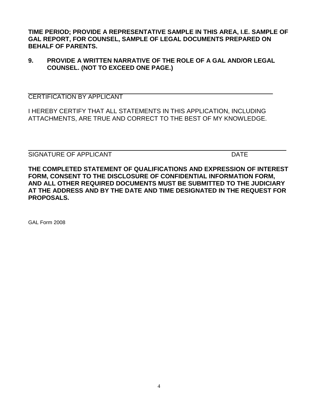**TIME PERIOD; PROVIDE A REPRESENTATIVE SAMPLE IN THIS AREA, I.E. SAMPLE OF GAL REPORT, FOR COUNSEL, SAMPLE OF LEGAL DOCUMENTS PREPARED ON BEHALF OF PARENTS.**

## **9. PROVIDE A WRITTEN NARRATIVE OF THE ROLE OF A GAL AND/OR LEGAL COUNSEL. (NOT TO EXCEED ONE PAGE.)**

CERTIFICATION BY APPLICANT

I HEREBY CERTIFY THAT ALL STATEMENTS IN THIS APPLICATION, INCLUDING ATTACHMENTS, ARE TRUE AND CORRECT TO THE BEST OF MY KNOWLEDGE.

SIGNATURE OF APPLICANT **EXECUTE ASSESSMENT CONTRACT CONTRACT CONTRACT CONTRACT CONTRACT CONTRACT CONTRACT CONTROL** 

**THE COMPLETED STATEMENT OF QUALIFICATIONS AND EXPRESSION OF INTEREST FORM, CONSENT TO THE DISCLOSURE OF CONFIDENTIAL INFORMATION FORM, AND ALL OTHER REQUIRED DOCUMENTS MUST BE SUBMITTED TO THE JUDICIARY AT THE ADDRESS AND BY THE DATE AND TIME DESIGNATED IN THE REQUEST FOR PROPOSALS.**

 $\_$  , and the set of the set of the set of the set of the set of the set of the set of the set of the set of the set of the set of the set of the set of the set of the set of the set of the set of the set of the set of th

GAL Form 2008